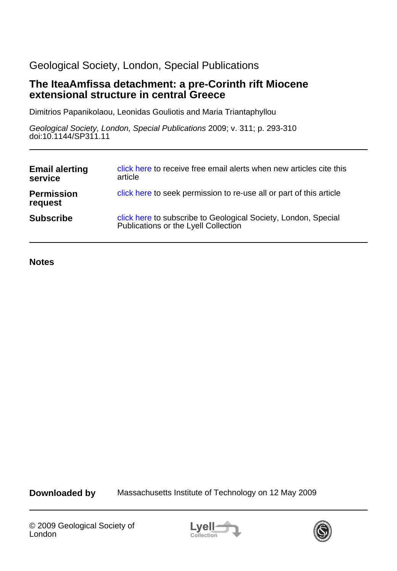# Geological Society, London, Special Publications

## **extensional structure in central Greece The IteaAmfissa detachment: a pre-Corinth rift Miocene**

Dimitrios Papanikolaou, Leonidas Gouliotis and Maria Triantaphyllou

doi:10.1144/SP311.11 Geological Society, London, Special Publications 2009; v. 311; p. 293-310

| <b>Email alerting</b><br>service | click here to receive free email alerts when new articles cite this<br>article                         |
|----------------------------------|--------------------------------------------------------------------------------------------------------|
| <b>Permission</b><br>request     | click here to seek permission to re-use all or part of this article                                    |
| <b>Subscribe</b>                 | click here to subscribe to Geological Society, London, Special<br>Publications or the Lyell Collection |

**Notes**

**Downloaded by** Massachusetts Institute of Technology on 12 May 2009



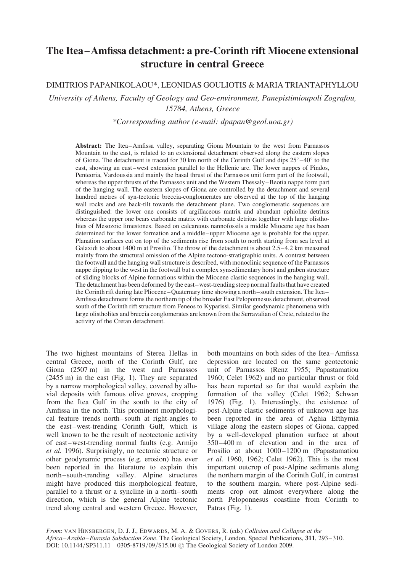## The Itea –Amfissa detachment: a pre-Corinth rift Miocene extensional structure in central Greece

### DIMITRIOS PAPANIKOLAOU\*, LEONIDAS GOULIOTIS & MARIA TRIANTAPHYLLOU

*University of Athens, Faculty of Geology and Geo-environment, Panepistimioupoli Zografou, 15784, Athens, Greece*

*\*Corresponding author (e-mail: dpapan@geol.uoa.gr)*

Abstract: The Itea –Amfissa valley, separating Giona Mountain to the west from Parnassos Mountain to the east, is related to an extensional detachment observed along the eastern slopes of Giona. The detachment is traced for 30 km north of the Corinth Gulf and dips  $25^{\circ} - 40^{\circ}$  to the east, showing an east–west extension parallel to the Hellenic arc. The lower nappes of Pindos, Penteoria, Vardoussia and mainly the basal thrust of the Parnassos unit form part of the footwall, whereas the upper thrusts of the Parnassos unit and the Western Thessaly–Beotia nappe form part of the hanging wall. The eastern slopes of Giona are controlled by the detachment and several hundred metres of syn-tectonic breccia-conglomerates are observed at the top of the hanging wall rocks and are back-tilt towards the detachment plane. Two conglomeratic sequences are distinguished: the lower one consists of argillaceous matrix and abundant ophiolite detritus whereas the upper one bears carbonate matrix with carbonate detritus together with large olistholites of Mesozoic limestones. Based on calcareous nannofossils a middle Miocene age has been determined for the lower formation and a middle– upper Miocene age is probable for the upper. Planation surfaces cut on top of the sediments rise from south to north starting from sea level at Galaxidi to about 1400 m at Prosilio. The throw of the detachment is about 2.5–4.2 km measured mainly from the structural omission of the Alpine tectono-stratigraphic units. A contrast between the footwall and the hanging wall structure is described, with monoclinic sequence of the Parnassos nappe dipping to the west in the footwall but a complex synsedimentary horst and graben structure of sliding blocks of Alpine formations within the Miocene clastic sequences in the hanging wall. The detachment has been deformed by the east–west-trending steep normal faults that have created the Corinth rift during late Pliocene–Quaternary time showing a north– south extension. The Itea – Amfissa detachment forms the northern tip of the broader East Peloponnesus detachment, observed south of the Corinth rift structure from Feneos to Kyparissi. Similar geodynamic phenomena with large olistholites and breccia conglomerates are known from the Serravalian of Crete, related to the activity of the Cretan detachment.

The two highest mountains of Sterea Hellas in central Greece, north of the Corinth Gulf, are Giona (2507 m) in the west and Parnassos (2455 m) in the east (Fig. 1). They are separated by a narrow morphological valley, covered by alluvial deposits with famous olive groves, cropping from the Itea Gulf in the south to the city of Amfissa in the north. This prominent morphological feature trends north – south at right-angles to the east-west-trending Corinth Gulf, which is well known to be the result of neotectonic activity of east –west-trending normal faults (e.g. Armijo *et al.* 1996). Surprisingly, no tectonic structure or other geodynamic process (e.g. erosion) has ever been reported in the literature to explain this north– south-trending valley. Alpine structures might have produced this morphological feature, parallel to a thrust or a syncline in a north– south direction, which is the general Alpine tectonic trend along central and western Greece. However, both mountains on both sides of the Itea–Amfissa depression are located on the same geotectonic unit of Parnassos (Renz 1955; Papastamatiou 1960; Celet 1962) and no particular thrust or fold has been reported so far that would explain the formation of the valley (Celet 1962; Schwan 1976) (Fig. 1). Interestingly, the existence of post-Alpine clastic sediments of unknown age has been reported in the area of Aghia Efthymia village along the eastern slopes of Giona, capped by a well-developed planation surface at about 350 –400 m of elevation and in the area of Prosilio at about 1000–1200 m (Papastamatiou *et al.* 1960, 1962; Celet 1962). This is the most important outcrop of post-Alpine sediments along the northern margin of the Corinth Gulf, in contrast to the southern margin, where post-Alpine sediments crop out almost everywhere along the north Peloponnesus coastline from Corinth to Patras (Fig. 1).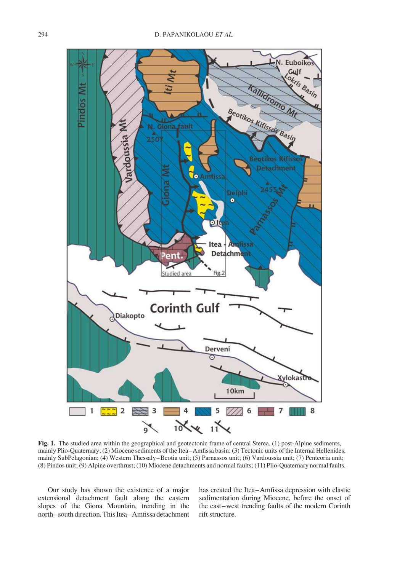

Fig. 1. The studied area within the geographical and geotectonic frame of central Sterea. (1) post-Alpine sediments, mainly Plio-Quaternary; (2) Miocene sediments of the Itea –Amfissa basin; (3) Tectonic units of the Internal Hellenides, mainly SubPelagonian; (4) Western Thessaly–Beotia unit; (5) Parnassos unit; (6) Vardoussia unit; (7) Penteoria unit; (8) Pindos unit; (9) Alpine overthrust; (10) Miocene detachments and normal faults; (11) Plio-Quaternary normal faults.

Our study has shown the existence of a major extensional detachment fault along the eastern slopes of the Giona Mountain, trending in the north–south direction. This Itea–Amfissa detachment

has created the Itea–Amfissa depression with clastic sedimentation during Miocene, before the onset of the east–west trending faults of the modern Corinth rift structure.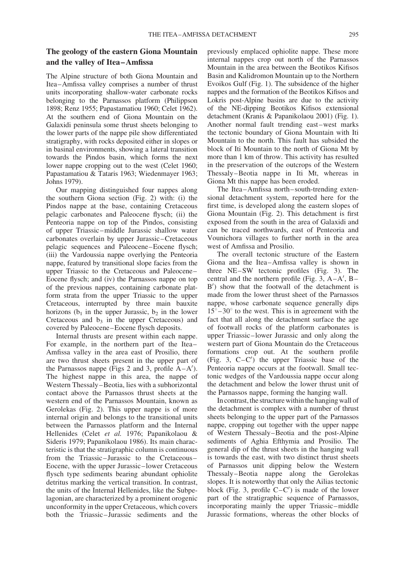## The geology of the eastern Giona Mountain and the valley of Itea –Amfissa

The Alpine structure of both Giona Mountain and Itea–Amfissa valley comprises a number of thrust units incorporating shallow-water carbonate rocks belonging to the Parnassos platform (Philippson 1898; Renz 1955; Papastamatiou 1960; Celet 1962). At the southern end of Giona Mountain on the Galaxidi peninsula some thrust sheets belonging to the lower parts of the nappe pile show differentiated stratigraphy, with rocks deposited either in slopes or in basinal environments, showing a lateral transition towards the Pindos basin, which forms the next lower nappe cropping out to the west (Celet 1960; Papastamatiou & Tataris 1963; Wiedenmayer 1963; Johns 1979).

Our mapping distinguished four nappes along the southern Giona section (Fig. 2) with: (i) the Pindos nappe at the base, containing Cretaceous pelagic carbonates and Paleocene flysch; (ii) the Penteoria nappe on top of the Pindos, consisting of upper Triassic–middle Jurassic shallow water carbonates overlain by upper Jurassic –Cretaceous pelagic sequences and Paleocene–Eocene flysch; (iii) the Vardoussia nappe overlying the Penteoria nappe, featured by transitional slope facies from the upper Triassic to the Cretaceous and Paleocene– Eocene flysch; and (iv) the Parnassos nappe on top of the previous nappes, containing carbonate platform strata from the upper Triassic to the upper Cretaceous, interrupted by three main bauxite horizons ( $b_1$  in the upper Jurassic,  $b_2$  in the lower Cretaceous and  $b_3$  in the upper Cretaceous) and covered by Paleocene–Eocene flysch deposits.

Internal thrusts are present within each nappe. For example, in the northern part of the Itea– Amfissa valley in the area east of Prosilio, there are two thrust sheets present in the upper part of the Parnassos nappe (Figs 2 and 3, profile  $A - A'$ ). The highest nappe in this area, the nappe of Western Thessaly –Beotia, lies with a subhorizontal contact above the Parnassos thrust sheets at the western end of the Parnassos Mountain, known as Gerolekas (Fig. 2). This upper nappe is of more internal origin and belongs to the transitional units between the Parnassos platform and the Internal Hellenides (Celet *et al.* 1976; Papanikolaou & Sideris 1979; Papanikolaou 1986). Its main characteristic is that the stratigraphic column is continuous from the Triassic – Jurassic to the Cretaceous – Eocene, with the upper Jurassic –lower Cretaceous flysch type sediments bearing abundant ophiolite detritus marking the vertical transition. In contrast, the units of the Internal Hellenides, like the Subpelagonian, are characterized by a prominent orogenic unconformity in the upper Cretaceous, which covers both the Triassic– Jurassic sediments and the

previously emplaced ophiolite nappe. These more internal nappes crop out north of the Parnassos Mountain in the area between the Beotikos Kifisos Basin and Kalidromon Mountain up to the Northern Evoikos Gulf (Fig. 1). The subsidence of the higher nappes and the formation of the Beotikos Kifisos and Lokris post-Alpine basins are due to the activity of the NE-dipping Beotikos Kifisos extensional detachment (Kranis & Papanikolaou 2001) (Fig. 1). Another normal fault trending east-west marks the tectonic boundary of Giona Mountain with Iti Mountain to the north. This fault has subsided the block of Iti Mountain to the north of Giona Mt by more than 1 km of throw. This activity has resulted in the preservation of the outcrops of the Western Thessaly –Beotia nappe in Iti Mt, whereas in Giona Mt this nappe has been eroded.

The Itea–Amfissa north– south-trending extensional detachment system, reported here for the first time, is developed along the eastern slopes of Giona Mountain (Fig. 2). This detachment is first exposed from the south in the area of Galaxidi and can be traced northwards, east of Penteoria and Vounichora villages to further north in the area west of Amfissa and Prosilio.

The overall tectonic structure of the Eastern Giona and the Itea–Amfissa valley is shown in three NE –SW tectonic profiles (Fig. 3). The central and the northern profile (Fig. 3,  $A - A'$ , B-B') show that the footwall of the detachment is made from the lower thrust sheet of the Parnassos nappe, whose carbonate sequence generally dips  $15^{\circ}$ –30° to the west. This is in agreement with the fact that all along the detachment surface the age of footwall rocks of the platform carbonates is upper Triassic –lower Jurassic and only along the western part of Giona Mountain do the Cretaceous formations crop out. At the southern profile (Fig. 3,  $C-C'$ ) the upper Triassic base of the Penteoria nappe occurs at the footwall. Small tectonic wedges of the Vardoussia nappe occur along the detachment and below the lower thrust unit of the Parnassos nappe, forming the hanging wall.

In contrast, the structure within the hanging wall of the detachment is complex with a number of thrust sheets belonging to the upper part of the Parnassos nappe, cropping out together with the upper nappe of Western Thessaly–Beotia and the post-Alpine sediments of Aghia Efthymia and Prosilio. The general dip of the thrust sheets in the hanging wall is towards the east, with two distinct thrust sheets of Parnassos unit dipping below the Western Thessaly –Beotia nappe along the Gerolekas slopes. It is noteworthy that only the Ailias tectonic block (Fig. 3, profile  $C - C'$ ) is made of the lower part of the stratigraphic sequence of Parnassos, incorporating mainly the upper Triassic –middle Jurassic formations, whereas the other blocks of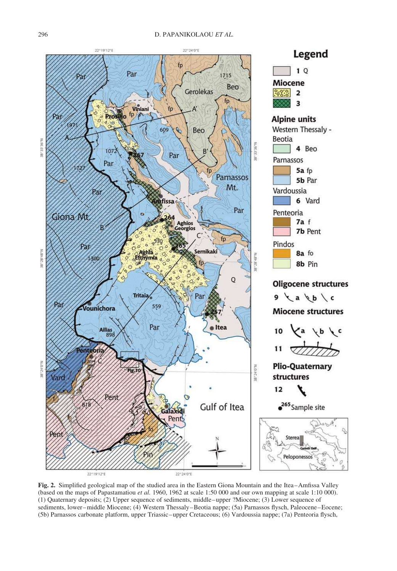

Fig. 2. Simplified geological map of the studied area in the Eastern Giona Mountain and the Itea-Amfissa Valley (based on the maps of Papastamatiou *et al.* 1960, 1962 at scale 1:50 000 and our own mapping at scale 1:10 000). (1) Quaternary deposits; (2) Upper sequence of sediments, middle–upper ?Miocene; (3) Lower sequence of sediments, lower–middle Miocene; (4) Western Thessaly–Beotia nappe; (5a) Parnassos flysch, Paleocene–Eocene; (5b) Parnassos carbonate platform, upper Triassic –upper Cretaceous; (6) Vardoussia nappe; (7a) Penteoria flysch,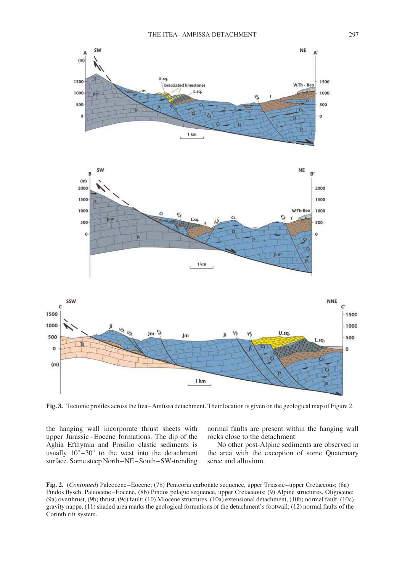

Fig. 3. Tectonic profiles across the Itea–Amfissa detachment. Their location is given on the geological map of Figure 2.

the hanging wall incorporate thrust sheets with upper Jurassic –Eocene formations. The dip of the Aghia Efthymia and Prosilio clastic sediments is usually  $10^{\circ} - 30^{\circ}$  to the west into the detachment surface. Some steep North–NE–South–SW-trending

normal faults are present within the hanging wall rocks close to the detachment.

No other post-Alpine sediments are observed in the area with the exception of some Quaternary scree and alluvium.

Fig. 2. (*Continued*) Paleocene–Eocene; (7b) Penteoria carbonate sequence, upper Triassic–upper Cretaceous; (8a) Pindos flysch, Paleocene–Eocene, (8b) Pindos pelagic sequence, upper Cretaceous; (9) Alpine structures, Oligocene; (9a) overthrust, (9b) thrust, (9c) fault; (10) Miocene structures, (10a) extensional detachment, (10b) normal fault, (10c) gravity nappe, (11) shaded area marks the geological formations of the detachment's footwall; (12) normal faults of the Corinth rift system.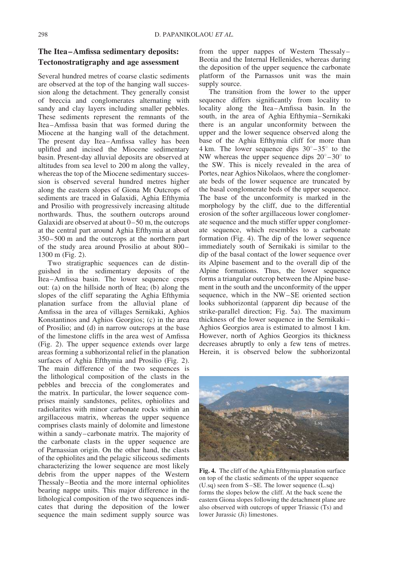## The Itea-Amfissa sedimentary deposits: Tectonostratigraphy and age assessment

Several hundred metres of coarse clastic sediments are observed at the top of the hanging wall succession along the detachment. They generally consist of breccia and conglomerates alternating with sandy and clay layers including smaller pebbles. These sediments represent the remnants of the Itea–Amfissa basin that was formed during the Miocene at the hanging wall of the detachment. The present day Itea–Amfissa valley has been uplifted and incised the Miocene sedimentary basin. Present-day alluvial deposits are observed at altitudes from sea level to 200 m along the valley, whereas the top of the Miocene sedimentary succession is observed several hundred metres higher along the eastern slopes of Giona Mt Outcrops of sediments are traced in Galaxidi, Aghia Efthymia and Prosilio with progressively increasing altitude northwards. Thus, the southern outcrops around Galaxidi are observed at about  $0-50$  m, the outcrops at the central part around Aghia Efthymia at about 350– 500 m and the outcrops at the northern part of the study area around Prosilio at about 800 – 1300 m (Fig. 2).

Two stratigraphic sequences can de distinguished in the sedimentary deposits of the Itea–Amfissa basin. The lower sequence crops out: (a) on the hillside north of Itea; (b) along the slopes of the cliff separating the Aghia Efthymia planation surface from the alluvial plane of Amfissa in the area of villages Sernikaki, Aghios Konstantinos and Aghios Georgios; (c) in the area of Prosilio; and (d) in narrow outcrops at the base of the limestone cliffs in the area west of Amfissa (Fig. 2). The upper sequence extends over large areas forming a subhorizontal relief in the planation surfaces of Aghia Efthymia and Prosilio (Fig. 2). The main difference of the two sequences is the lithological composition of the clasts in the pebbles and breccia of the conglomerates and the matrix. In particular, the lower sequence comprises mainly sandstones, pelites, ophiolites and radiolarites with minor carbonate rocks within an argillaceous matrix, whereas the upper sequence comprises clasts mainly of dolomite and limestone within a sandy–carbonate matrix. The majority of the carbonate clasts in the upper sequence are of Parnassian origin. On the other hand, the clasts of the ophiolites and the pelagic siliceous sediments characterizing the lower sequence are most likely debris from the upper nappes of the Western Thessaly –Beotia and the more internal ophiolites bearing nappe units. This major difference in the lithological composition of the two sequences indicates that during the deposition of the lower sequence the main sediment supply source was

from the upper nappes of Western Thessaly – Beotia and the Internal Hellenides, whereas during the deposition of the upper sequence the carbonate platform of the Parnassos unit was the main supply source.

The transition from the lower to the upper sequence differs significantly from locality to locality along the Itea–Amfissa basin. In the south, in the area of Aghia Efthymia–Sernikaki there is an angular unconformity between the upper and the lower sequence observed along the base of the Aghia Efthymia cliff for more than 4 km. The lower sequence dips  $30^{\circ} - 35^{\circ}$  to the NW whereas the upper sequence dips  $20^{\circ} - 30^{\circ}$  to the SW. This is nicely revealed in the area of Portes, near Aghios Nikolaos, where the conglomerate beds of the lower sequence are truncated by the basal conglomerate beds of the upper sequence. The base of the unconformity is marked in the morphology by the cliff, due to the differential erosion of the softer argillaceous lower conglomerate sequence and the much stiffer upper conglomerate sequence, which resembles to a carbonate formation (Fig. 4). The dip of the lower sequence immediately south of Sernikaki is similar to the dip of the basal contact of the lower sequence over its Alpine basement and to the overall dip of the Alpine formations. Thus, the lower sequence forms a triangular outcrop between the Alpine basement in the south and the unconformity of the upper sequence, which in the NW–SE oriented section looks subhorizontal (apparent dip because of the strike-parallel direction; Fig. 5a). The maximum thickness of the lower sequence in the Sernikaki – Aghios Georgios area is estimated to almost 1 km. However, north of Aghios Georgios its thickness decreases abruptly to only a few tens of metres. Herein, it is observed below the subhorizontal



Fig. 4. The cliff of the Aghia Efthymia planation surface on top of the clastic sediments of the upper sequence  $(U.\text{sa})$  seen from S-SE. The lower sequence  $(L.\text{sa})$ forms the slopes below the cliff. At the back scene the eastern Giona slopes following the detachment plane are also observed with outcrops of upper Triassic (Ts) and lower Jurassic (Ji) limestones.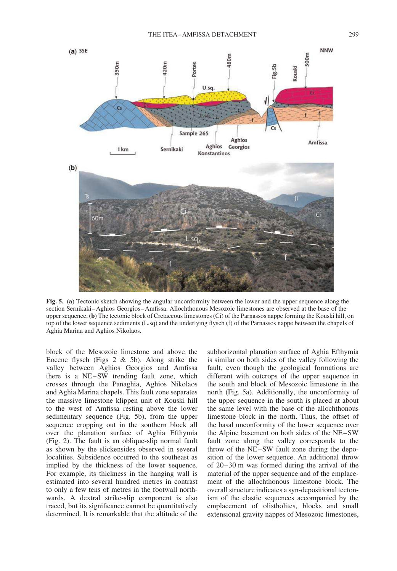

Fig. 5. (a) Tectonic sketch showing the angular unconformity between the lower and the upper sequence along the section Sernikaki–Aghios Georgios–Amfissa. Allochthonous Mesozoic limestones are observed at the base of the upper sequence, (b) The tectonic block of Cretaceous limestones (Ci) of the Parnassos nappe forming the Kouski hill, on top of the lower sequence sediments (L.sq) and the underlying flysch (f) of the Parnassos nappe between the chapels of Aghia Marina and Aghios Nikolaos.

block of the Mesozoic limestone and above the Eocene flysch (Figs 2 & 5b). Along strike the valley between Aghios Georgios and Amfissa there is a NE–SW trending fault zone, which crosses through the Panaghia, Aghios Nikolaos and Aghia Marina chapels. This fault zone separates the massive limestone klippen unit of Kouski hill to the west of Amfissa resting above the lower sedimentary sequence (Fig. 5b), from the upper sequence cropping out in the southern block all over the planation surface of Aghia Efthymia (Fig. 2). The fault is an oblique-slip normal fault as shown by the slickensides observed in several localities. Subsidence occurred to the southeast as implied by the thickness of the lower sequence. For example, its thickness in the hanging wall is estimated into several hundred metres in contrast to only a few tens of metres in the footwall northwards. A dextral strike-slip component is also traced, but its significance cannot be quantitatively determined. It is remarkable that the altitude of the subhorizontal planation surface of Aghia Efthymia is similar on both sides of the valley following the fault, even though the geological formations are different with outcrops of the upper sequence in the south and block of Mesozoic limestone in the north (Fig. 5a). Additionally, the unconformity of the upper sequence in the south is placed at about the same level with the base of the allochthonous limestone block in the north. Thus, the offset of the basal unconformity of the lower sequence over the Alpine basement on both sides of the NE–SW fault zone along the valley corresponds to the throw of the NE–SW fault zone during the deposition of the lower sequence. An additional throw of 20–30 m was formed during the arrival of the material of the upper sequence and of the emplacement of the allochthonous limestone block. The overall structure indicates a syn-depositional tectonism of the clastic sequences accompanied by the emplacement of olistholites, blocks and small extensional gravity nappes of Mesozoic limestones,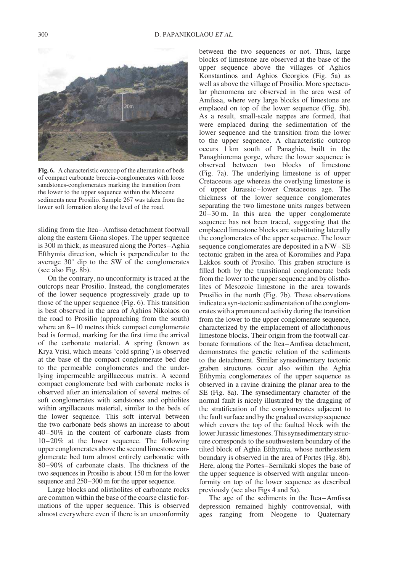

Fig. 6. A characteristic outcrop of the alternation of beds of compact carbonate breccia-conglomerates with loose sandstones-conglomerates marking the transition from the lower to the upper sequence within the Miocene sediments near Prosilio. Sample 267 was taken from the lower soft formation along the level of the road.

sliding from the Itea–Amfissa detachment footwall along the eastern Giona slopes. The upper sequence is 300 m thick, as measured along the Portes–Aghia Efthymia direction, which is perpendicular to the average  $30^{\circ}$  dip to the SW of the conglomerates (see also Fig. 8b).

On the contrary, no unconformity is traced at the outcrops near Prosilio. Instead, the conglomerates of the lower sequence progressively grade up to those of the upper sequence (Fig. 6). This transition is best observed in the area of Aghios Nikolaos on the road to Prosilio (approaching from the south) where an 8–10 metres thick compact conglomerate bed is formed, marking for the first time the arrival of the carbonate material. A spring (known as Krya Vrisi, which means 'cold spring') is observed at the base of the compact conglomerate bed due to the permeable conglomerates and the underlying impermeable argillaceous matrix. A second compact conglomerate bed with carbonate rocks is observed after an intercalation of several metres of soft conglomerates with sandstones and ophiolites within argillaceous material, similar to the beds of the lower sequence. This soft interval between the two carbonate beds shows an increase to about 40–50% in the content of carbonate clasts from 10–20% at the lower sequence. The following upper conglomerates above the second limestone conglomerate bed turn almost entirely carbonatic with 80–90% of carbonate clasts. The thickness of the two sequences in Prosilio is about 150 m for the lower sequence and 250–300 m for the upper sequence.

Large blocks and olistholites of carbonate rocks are common within the base of the coarse clastic formations of the upper sequence. This is observed almost everywhere even if there is an unconformity

between the two sequences or not. Thus, large blocks of limestone are observed at the base of the upper sequence above the villages of Aghios Konstantinos and Aghios Georgios (Fig. 5a) as well as above the village of Prosilio. More spectacular phenomena are observed in the area west of Amfissa, where very large blocks of limestone are emplaced on top of the lower sequence (Fig. 5b). As a result, small-scale nappes are formed, that were emplaced during the sedimentation of the lower sequence and the transition from the lower to the upper sequence. A characteristic outcrop occurs 1 km south of Panaghia, built in the Panaghiorema gorge, where the lower sequence is observed between two blocks of limestone (Fig. 7a). The underlying limestone is of upper Cretaceous age whereas the overlying limestone is of upper Jurassic –lower Cretaceous age. The thickness of the lower sequence conglomerates separating the two limestone units ranges between 20 –30 m. In this area the upper conglomerate sequence has not been traced, suggesting that the emplaced limestone blocks are substituting laterally the conglomerates of the upper sequence. The lower sequence conglomerates are deposited in a NW–SE tectonic graben in the area of Koromilies and Papa Lakkos south of Prosilio. This graben structure is filled both by the transitional conglomerate beds from the lower to the upper sequence and by olistholites of Mesozoic limestone in the area towards Prosilio in the north (Fig. 7b). These observations indicate a syn-tectonic sedimentation of the conglomerates with a pronounced activity during the transition from the lower to the upper conglomerate sequence, characterized by the emplacement of allochthonous limestone blocks. Their origin from the footwall carbonate formations of the Itea–Amfissa detachment, demonstrates the genetic relation of the sediments to the detachment. Similar synsedimentary tectonic graben structures occur also within the Aghia Efthymia conglomerates of the upper sequence as observed in a ravine draining the planar area to the SE (Fig. 8a). The synsedimentary character of the normal fault is nicely illustrated by the dragging of the stratification of the conglomerates adjacent to the fault surface and by the gradual overstep sequence which covers the top of the faulted block with the lower Jurassic limestones. This synsedimentary structure corresponds to the southwestern boundary of the tilted block of Aghia Efthymia, whose northeastern boundary is observed in the area of Portes (Fig. 8b). Here, along the Portes–Sernikaki slopes the base of the upper sequence is observed with angular unconformity on top of the lower sequence as described previously (see also Figs 4 and 5a).

The age of the sediments in the Itea-Amfissa depression remained highly controversial, with ages ranging from Neogene to Quaternary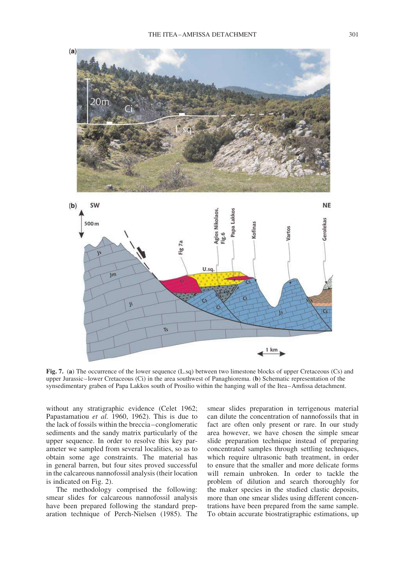

Fig. 7. (a) The occurrence of the lower sequence (L.sq) between two limestone blocks of upper Cretaceous (Cs) and upper Jurassic–lower Cretaceous (Ci) in the area southwest of Panaghiorema. (b) Schematic representation of the synsedimentary graben of Papa Lakkos south of Prosilio within the hanging wall of the Itea –Amfissa detachment.

without any stratigraphic evidence (Celet 1962; Papastamatiou *et al.* 1960, 1962). This is due to the lack of fossils within the breccia –conglomeratic sediments and the sandy matrix particularly of the upper sequence. In order to resolve this key parameter we sampled from several localities, so as to obtain some age constraints. The material has in general barren, but four sites proved successful in the calcareous nannofossil analysis (their location is indicated on Fig. 2).

The methodology comprised the following: smear slides for calcareous nannofossil analysis have been prepared following the standard preparation technique of Perch-Nielsen (1985). The

smear slides preparation in terrigenous material can dilute the concentration of nannofossils that in fact are often only present or rare. In our study area however, we have chosen the simple smear slide preparation technique instead of preparing concentrated samples through settling techniques, which require ultrasonic bath treatment, in order to ensure that the smaller and more delicate forms will remain unbroken. In order to tackle the problem of dilution and search thoroughly for the maker species in the studied clastic deposits, more than one smear slides using different concentrations have been prepared from the same sample. To obtain accurate biostratigraphic estimations, up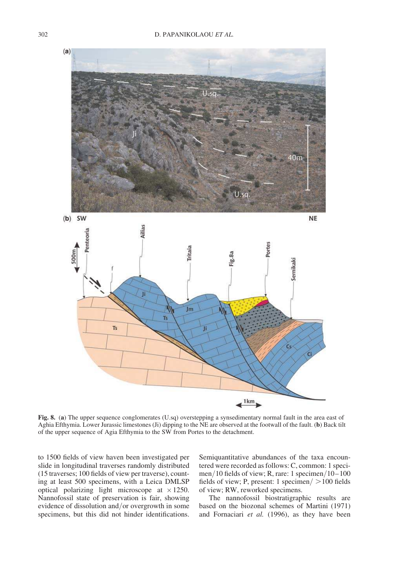

Fig. 8. (a) The upper sequence conglomerates (U.sq) overstepping a synsedimentary normal fault in the area east of Aghia Efthymia. Lower Jurassic limestones (Ji) dipping to the NE are observed at the footwall of the fault. (b) Back tilt of the upper sequence of Agia Efthymia to the SW from Portes to the detachment.

to 1500 fields of view haven been investigated per slide in longitudinal traverses randomly distributed (15 traverses; 100 fields of view per traverse), counting at least 500 specimens, with a Leica DMLSP optical polarizing light microscope at  $\times$  1250. Nannofossil state of preservation is fair, showing evidence of dissolution and/or overgrowth in some specimens, but this did not hinder identifications.

Semiquantitative abundances of the taxa encountered were recorded as follows: C, common: 1 specimen/10 fields of view; R, rare: 1 specimen/10-100 fields of view; P, present: 1 specimen $/$  >100 fields of view; RW, reworked specimens.

The nannofossil biostratigraphic results are based on the biozonal schemes of Martini (1971) and Fornaciari *et al.* (1996), as they have been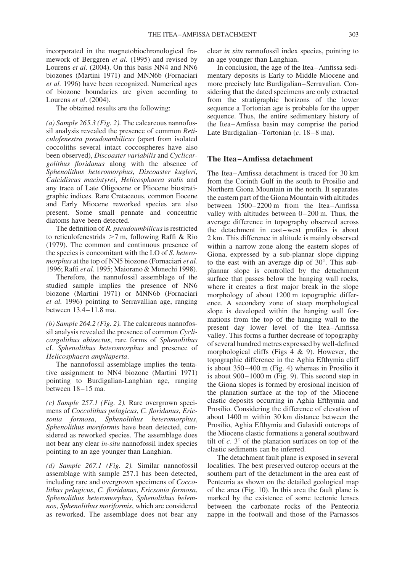incorporated in the magnetobiochronological framework of Berggren *et al.* (1995) and revised by Lourens *et al.* (2004). On this basis NN4 and NN6 biozones (Martini 1971) and MNN6b (Fornaciari *et al.* 1996) have been recognized. Numerical ages of biozone boundaries are given according to Lourens *et al*. (2004).

The obtained results are the following:

*(a) Sample 265.3 (Fig. 2).* The calcareous nannofossil analysis revealed the presence of common *Reticulofenestra pseudoumbilicus* (apart from isolated coccoliths several intact coccospheres have also been observed), *Discoaster variabilis* and *Cyclicargolithus floridanus* along with the absence of *Sphenolithus heteromorphus*, *Discoaster kugleri*, *Calcidiscus macintyrei*, *Helicosphaera stalis* and any trace of Late Oligocene or Pliocene biostratigraphic indices. Rare Cretaceous, common Eocene and Early Miocene reworked species are also present. Some small pennate and concentric diatoms have been detected.

The definition of *R. pseudoumbilicus*is restricted to reticulofenestrids  $>7$  m, following Raffi & Rio (1979). The common and continuous presence of the species is concomitant with the LO of *S. heteromorphus* at the top of NN5 biozone (Fornaciari *et al.* 1996; Raffi *et al.* 1995; Maiorano & Monechi 1998).

Therefore, the nannofossil assemblage of the studied sample implies the presence of NN6 biozone (Martini 1971) or MNN6b (Fornaciari *et al.* 1996) pointing to Serravallian age, ranging between 13.4–11.8 ma.

*(b) Sample 264.2 (Fig. 2).* The calcareous nannofossil analysis revealed the presence of common *Cyclicargolithus abisectus*, rare forms of *Sphenolithus* cf. *Sphenolithus heteromorphus* and presence of *Helicosphaera ampliaperta*.

The nannofossil assemblage implies the tentative assignment to NN4 biozone (Martini 1971) pointing to Burdigalian-Langhian age, ranging between 18–15 ma.

*(c) Sample 257.1 (Fig. 2).* Rare overgrown specimens of *Coccolithus pelagicus*, *C. floridanus*, *Ericsonia formosa*, *Sphenolithus heteromorphus*, *Sphenolithus moriformis* have been detected, considered as reworked species. The assemblage does not bear any clear *in-situ* nannofossil index species pointing to an age younger than Langhian.

*(d) Sample 267.1 (Fig. 2).* Similar nannofossil assemblage with sample 257.1 has been detected, including rare and overgrown specimens of *Coccolithus pelagicus*, *C. floridanus*, *Ericsonia formosa*, *Sphenolithus heteromorphus*, *Sphenolithus belemnos*, *Sphenolithus moriformis*, which are considered as reworked. The assemblage does not bear any clear *in situ* nannofossil index species, pointing to an age younger than Langhian.

In conclusion, the age of the Itea–Amfissa sedimentary deposits is Early to Middle Miocene and more precisely late Burdigalian–Serravalian. Considering that the dated specimens are only extracted from the stratigraphic horizons of the lower sequence a Tortonian age is probable for the upper sequence. Thus, the entire sedimentary history of the Itea–Amfissa basin may comprise the period Late Burdigalian –Tortonian (*c*. 18 –8 ma).

#### The Itea –Amfissa detachment

The Itea–Amfissa detachment is traced for 30 km from the Corinth Gulf in the south to Prosilio and Northern Giona Mountain in the north. It separates the eastern part of the Giona Mountain with altitudes between 1500–2200 m from the Itea–Amfissa valley with altitudes between 0–200 m. Thus, the average difference in topography observed across the detachment in east-west profiles is about 2 km. This difference in altitude is mainly observed within a narrow zone along the eastern slopes of Giona, expressed by a sub-plannar slope dipping to the east with an average dip of  $30^\circ$ . This subplannar slope is controlled by the detachment surface that passes below the hanging wall rocks, where it creates a first major break in the slope morphology of about 1200 m topographic difference. A secondary zone of steep morphological slope is developed within the hanging wall formations from the top of the hanging wall to the present day lower level of the Itea–Amfissa valley. This forms a further decrease of topography of several hundred metres expressed by well-defined morphological cliffs (Figs 4 & 9). However, the topographic difference in the Aghia Efthymia cliff is about 350–400 m (Fig. 4) whereas in Prosilio it is about  $900 - 1000$  m (Fig. 9). This second step in the Giona slopes is formed by erosional incision of the planation surface at the top of the Miocene clastic deposits occurring in Aghia Efthymia and Prosilio. Considering the difference of elevation of about 1400 m within 30 km distance between the Prosilio, Aghia Efthymia and Galaxidi outcrops of the Miocene clastic formations a general southward tilt of  $c$ .  $3^{\circ}$  of the planation surfaces on top of the clastic sediments can be inferred.

The detachment fault plane is exposed in several localities. The best preserved outcrop occurs at the southern part of the detachment in the area east of Penteoria as shown on the detailed geological map of the area (Fig. 10). In this area the fault plane is marked by the existence of some tectonic lenses between the carbonate rocks of the Penteoria nappe in the footwall and those of the Parnassos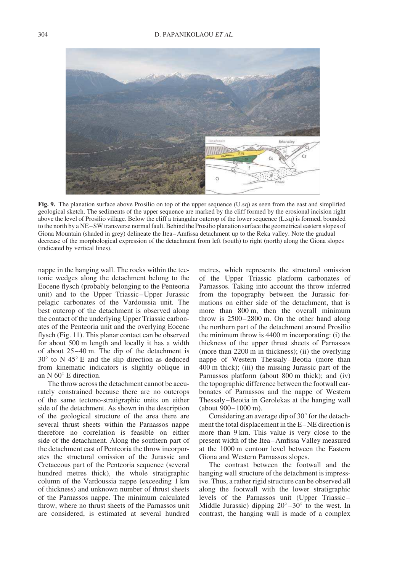

Fig. 9. The planation surface above Prosilio on top of the upper sequence (U.sq) as seen from the east and simplified geological sketch. The sediments of the upper sequence are marked by the cliff formed by the erosional incision right above the level of Prosilio village. Below the cliff a triangular outcrop of the lower sequence (L.sq) is formed, bounded to the north by a NE–SW transverse normal fault. Behind the Prosilio planation surface the geometrical eastern slopes of Giona Mountain (shaded in grey) delineate the Itea –Amfissa detachment up to the Reka valley. Note the gradual decrease of the morphological expression of the detachment from left (south) to right (north) along the Giona slopes (indicated by vertical lines).

nappe in the hanging wall. The rocks within the tectonic wedges along the detachment belong to the Eocene flysch (probably belonging to the Penteoria unit) and to the Upper Triassic–Upper Jurassic pelagic carbonates of the Vardoussia unit. The best outcrop of the detachment is observed along the contact of the underlying Upper Triassic carbonates of the Penteoria unit and the overlying Eocene flysch (Fig. 11). This planar contact can be observed for about 500 m length and locally it has a width of about 25 –40 m. The dip of the detachment is  $30^{\circ}$  to N 45 $^{\circ}$  E and the slip direction as deduced from kinematic indicators is slightly oblique in an  $N$  60 $^{\circ}$  E direction.

The throw across the detachment cannot be accurately constrained because there are no outcrops of the same tectono-stratigraphic units on either side of the detachment. As shown in the description of the geological structure of the area there are several thrust sheets within the Parnassos nappe therefore no correlation is feasible on either side of the detachment. Along the southern part of the detachment east of Penteoria the throw incorporates the structural omission of the Jurassic and Cretaceous part of the Penteoria sequence (several hundred metres thick), the whole stratigraphic column of the Vardoussia nappe (exceeding 1 km of thickness) and unknown number of thrust sheets of the Parnassos nappe. The minimum calculated throw, where no thrust sheets of the Parnassos unit are considered, is estimated at several hundred

metres, which represents the structural omission of the Upper Triassic platform carbonates of Parnassos. Taking into account the throw inferred from the topography between the Jurassic formations on either side of the detachment, that is more than 800 m, then the overall minimum throw is 2500–2800 m. On the other hand along the northern part of the detachment around Prosilio the minimum throw is 4400 m incorporating: (i) the thickness of the upper thrust sheets of Parnassos (more than 2200 m in thickness); (ii) the overlying nappe of Western Thessaly–Beotia (more than 400 m thick); (iii) the missing Jurassic part of the Parnassos platform (about 800 m thick); and (iv) the topographic difference between the footwall carbonates of Parnassos and the nappe of Western Thessaly –Beotia in Gerolekas at the hanging wall (about 900 – 1000 m).

Considering an average dip of  $30^{\circ}$  for the detachment the total displacement in the E–NE direction is more than 9 km. This value is very close to the present width of the Itea–Amfissa Valley measured at the 1000 m contour level between the Eastern Giona and Western Parnassos slopes.

The contrast between the footwall and the hanging wall structure of the detachment is impressive. Thus, a rather rigid structure can be observed all along the footwall with the lower stratigraphic levels of the Parnassos unit (Upper Triassic – Middle Jurassic) dipping  $20^{\circ} - 30^{\circ}$  to the west. In contrast, the hanging wall is made of a complex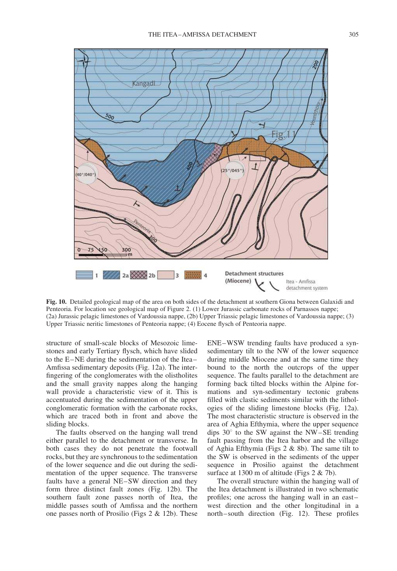

Fig. 10. Detailed geological map of the area on both sides of the detachment at southern Giona between Galaxidi and Penteoria. For location see geological map of Figure 2. (1) Lower Jurassic carbonate rocks of Parnassos nappe; (2a) Jurassic pelagic limestones of Vardoussia nappe, (2b) Upper Triassic pelagic limestones of Vardoussia nappe; (3) Upper Triassic neritic limestones of Penteoria nappe; (4) Eocene flysch of Penteoria nappe.

structure of small-scale blocks of Mesozoic limestones and early Tertiary flysch, which have slided to the E–NE during the sedimentation of the Itea – Amfissa sedimentary deposits (Fig. 12a). The interfingering of the conglomerates with the olistholites and the small gravity nappes along the hanging wall provide a characteristic view of it. This is accentuated during the sedimentation of the upper conglomeratic formation with the carbonate rocks, which are traced both in front and above the sliding blocks.

The faults observed on the hanging wall trend either parallel to the detachment or transverse. In both cases they do not penetrate the footwall rocks, but they are synchronous to the sedimentation of the lower sequence and die out during the sedimentation of the upper sequence. The transverse faults have a general NE–SW direction and they form three distinct fault zones (Fig. 12b). The southern fault zone passes north of Itea, the middle passes south of Amfissa and the northern one passes north of Prosilio (Figs  $2 \& 12b$ ). These ENE –WSW trending faults have produced a synsedimentary tilt to the NW of the lower sequence during middle Miocene and at the same time they bound to the north the outcrops of the upper sequence. The faults parallel to the detachment are forming back tilted blocks within the Alpine formations and syn-sedimentary tectonic grabens filled with clastic sediments similar with the lithologies of the sliding limestone blocks (Fig. 12a). The most characteristic structure is observed in the area of Aghia Efthymia, where the upper sequence dips  $30^\circ$  to the SW against the NW-SE trending fault passing from the Itea harbor and the village of Aghia Efthymia (Figs 2 & 8b). The same tilt to the SW is observed in the sediments of the upper sequence in Prosilio against the detachment surface at 1300 m of altitude (Figs 2 & 7b).

The overall structure within the hanging wall of the Itea detachment is illustrated in two schematic profiles; one across the hanging wall in an eastwest direction and the other longitudinal in a north – south direction (Fig. 12). These profiles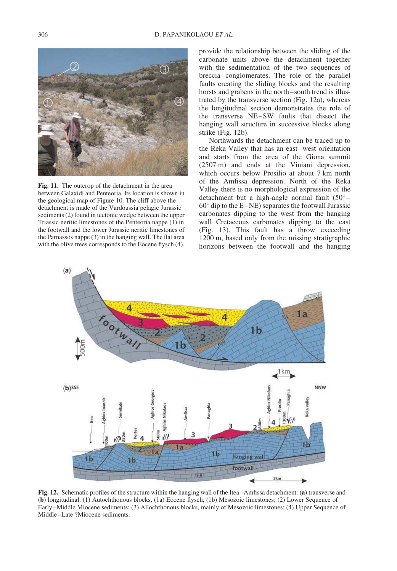

Fig. 11. The outcrop of the detachment in the area between Galaxidi and Penteoria. Its location is shown in the geological map of Figure 10. The cliff above the detachment is made of the Vardoussia pelagic Jurassic sediments (2) found in tectonic wedge between the upper Triassic neritic limestones of the Penteoria nappe (1) in the footwall and the lower Jurassic neritic limestones of the Parnassos nappe (3) in the hanging wall. The flat area with the olive trees corresponds to the Eocene flysch (4).

provide the relationship between the sliding of the carbonate units above the detachment together with the sedimentation of the two sequences of breccia –conglomerates. The role of the parallel faults creating the sliding blocks and the resulting horsts and grabens in the north– south trend is illustrated by the transverse section (Fig. 12a), whereas the longitudinal section demonstrates the role of the transverse NE –SW faults that dissect the hanging wall structure in successive blocks along strike (Fig. 12b).

Northwards the detachment can be traced up to the Reka Valley that has an east-west orientation and starts from the area of the Giona summit (2507 m) and ends at the Viniani depression, which occurs below Prosilio at about 7 km north of the Amfissa depression. North of the Reka Valley there is no morphological expression of the detachment but a high-angle normal fault  $(50^{\circ} 60^\circ$  dip to the E–NE) separates the footwall Jurassic carbonates dipping to the west from the hanging wall Cretaceous carbonates dipping to the east (Fig. 13). This fault has a throw exceeding 1200 m, based only from the missing stratigraphic horizons between the footwall and the hanging



Fig. 12. Schematic profiles of the structure within the hanging wall of the Itea –Amfissa detachment: (a) transverse and (b) longitudinal. (1) Autochthonous blocks, (1a) Eocene flysch, (1b) Mesozoic limestones; (2) Lower Sequence of Early–Middle Miocene sediments; (3) Allochthonous blocks, mainly of Mesozoic limestones; (4) Upper Sequence of Middle–Late ?Miocene sediments.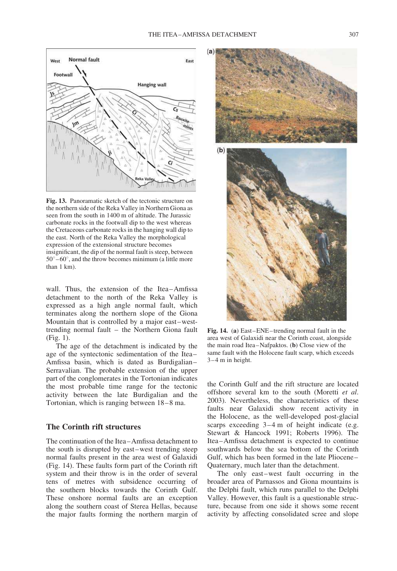

Fig. 13. Panoramatic sketch of the tectonic structure on the northern side of the Reka Valley in Northern Giona as seen from the south in 1400 m of altitude. The Jurassic carbonate rocks in the footwall dip to the west whereas the Cretaceous carbonate rocks in the hanging wall dip to the east. North of the Reka Valley the morphological expression of the extensional structure becomes insignificant, the dip of the normal fault is steep, between  $50^\circ$ –60 $^\circ$ , and the throw becomes minimum (a little more than 1 km).

wall. Thus, the extension of the Itea-Amfissa detachment to the north of the Reka Valley is expressed as a high angle normal fault, which terminates along the northern slope of the Giona Mountain that is controlled by a major east-westtrending normal fault – the Northern Giona fault (Fig. 1).

The age of the detachment is indicated by the age of the syntectonic sedimentation of the Itea– Amfissa basin, which is dated as Burdigalian– Serravalian. The probable extension of the upper part of the conglomerates in the Tortonian indicates the most probable time range for the tectonic activity between the late Burdigalian and the Tortonian, which is ranging between 18–8 ma.

### The Corinth rift structures

The continuation of the Itea–Amfissa detachment to the south is disrupted by east-west trending steep normal faults present in the area west of Galaxidi (Fig. 14). These faults form part of the Corinth rift system and their throw is in the order of several tens of metres with subsidence occurring of the southern blocks towards the Corinth Gulf. These onshore normal faults are an exception along the southern coast of Sterea Hellas, because the major faults forming the northern margin of



Fig. 14. (a) East –ENE–trending normal fault in the area west of Galaxidi near the Corinth coast, alongside the main road Itea-Nafpaktos. (b) Close view of the same fault with the Holocene fault scarp, which exceeds 3 –4 m in height.

the Corinth Gulf and the rift structure are located offshore several km to the south (Moretti *et al*. 2003). Nevertheless, the characteristics of these faults near Galaxidi show recent activity in the Holocene, as the well-developed post-glacial scarps exceeding 3–4 m of height indicate (e.g. Stewart & Hancock 1991; Roberts 1996). The Itea –Amfissa detachment is expected to continue southwards below the sea bottom of the Corinth Gulf, which has been formed in the late Pliocene– Quaternary, much later than the detachment.

The only east-west fault occurring in the broader area of Parnassos and Giona mountains is the Delphi fault, which runs parallel to the Delphi Valley. However, this fault is a questionable structure, because from one side it shows some recent activity by affecting consolidated scree and slope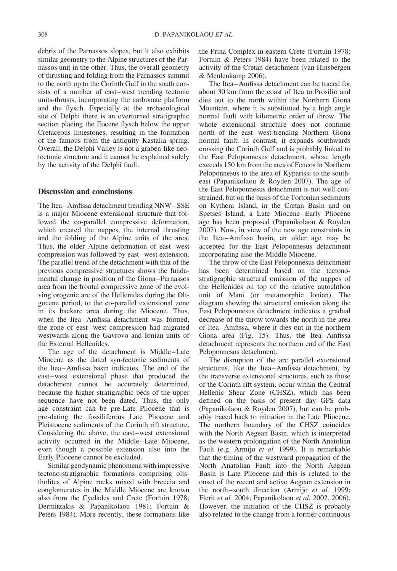debris of the Parnassos slopes, but it also exhibits similar geometry to the Alpine structures of the Parnassos unit in the other. Thus, the overall geometry of thrusting and folding from the Parnassos summit to the north up to the Corinth Gulf in the south consists of a number of east-west trending tectonic units-thrusts, incorporating the carbonate platform and the flysch. Especially at the archaeological site of Delphi there is an overturned stratigraphic section placing the Eocene flysch below the upper Cretaceous limestones, resulting in the formation of the famous from the antiquity Kastalia spring. Overall, the Delphi Valley is not a graben-like neotectonic structure and it cannot be explained solely by the activity of the Delphi fault.

#### Discussion and conclusions

The Itea –Amfissa detachment trending NNW –SSE is a major Miocene extensional structure that followed the co-parallel compressive deformation, which created the nappes, the internal thrusting and the folding of the Alpine units of the area. Thus, the older Alpine deformation of east–west compression was followed by east–west extension. The parallel trend of the detachment with that of the previous compressive structures shows the fundamental change in position of the Giona –Parnassos area from the frontal compressive zone of the evolving orogenic arc of the Hellenides during the Oligocene period, to the co-parallel extensional zone in its backarc area during the Miocene. Thus, when the Itea-Amfissa detachment was formed, the zone of east-west compression had migrated westwards along the Gavrovo and Ionian units of the External Hellenides.

The age of the detachment is Middle–Late Miocene as the dated syn-tectonic sediments of the Itea–Amfissa basin indicates. The end of the east–west extensional phase that produced the detachment cannot be accurately determined, because the higher stratigraphic beds of the upper sequence have not been dated. Thus, the only age constraint can be pre-Late Pliocene that is pre-dating the fossiliferous Late Pliocene and Pleistocene sediments of the Corinth rift structure. Considering the above, the east-west extensional activity occurred in the Middle –Late Miocene, even though a possible extension also into the Early Pliocene cannot be excluded.

Similar geodynamic phenomena with impressive tectono-stratigraphic formations comprising olistholites of Alpine rocks mixed with breccia and conglomerates in the Middle Miocene are known also from the Cyclades and Crete (Fortuin 1978; Dermitzakis & Papanikolaou 1981; Fortuin & Peters 1984). More recently, these formations like

the Prina Complex in eastern Crete (Fortuin 1978; Fortuin & Peters 1984) have been related to the activity of the Cretan detachment (van Hinsbergen & Meulenkamp 2006).

The Itea–Amfissa detachment can be traced for about 30 km from the coast of Itea to Prosilio and dies out to the north within the Northern Giona Mountain, where it is substituted by a high angle normal fault with kilometric order of throw. The whole extensional structure does not continue north of the east-west-trending Northern Giona normal fault. In contrast, it expands southwards crossing the Corinth Gulf and is probably linked to the East Peloponnesus detachment, whose length exceeds 150 km from the area of Feneos in Northern Peloponnesus to the area of Kyparissi to the southeast (Papanikolaou & Royden 2007). The age of the East Peloponnesus detachment is not well constrained, but on the basis of the Tortonian sediments on Kythera Island, in the Cretan Basin and on Spetses Island, a Late Miocene –Early Pliocene age has been proposed (Papanikolaou & Royden 2007). Now, in view of the new age constraints in the Itea–Amfissa basin, an older age may be accepted for the East Peloponnesus detachment incorporating also the Middle Miocene.

The throw of the East Peloponnesus detachment has been determined based on the tectonostratigraphic structural omission of the nappes of the Hellenides on top of the relative autochthon unit of Mani (or metamorphic Ionian). The diagram showing the structural omission along the East Peloponnesus detachment indicates a gradual decrease of the throw towards the north in the area of Itea–Amfissa, where it dies out in the northern Giona area (Fig. 15). Thus, the Itea–Amfissa detachment represents the northern end of the East Peloponnesus detachment.

The disruption of the arc parallel extensional structures, like the Itea–Amfissa detachment, by the transverse extensional structures, such as those of the Corinth rift system, occur within the Central Hellenic Shear Zone (CHSZ), which has been defined on the basis of present day GPS data (Papanikolaou & Royden 2007), but can be probably traced back to initiation in the Late Pliocene. The northern boundary of the CHSZ coincides with the North Aegean Basin, which is interpreted as the western prolongation of the North Anatolian Fault (e.g. Armijo *et al.* 1999). It is remarkable that the timing of the westward propagation of the North Anatolian Fault into the North Aegean Basin is Late Pliocene and this is related to the onset of the recent and active Aegean extension in the north– south direction (Armijo *et al.* 1999; Flerit *et al.* 2004; Papanikolaou *et al.* 2002, 2006). However, the initiation of the CHSZ is probably also related to the change from a former continuous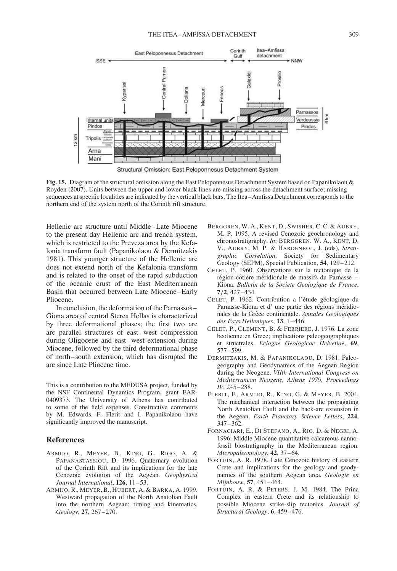

Structural Omission: East Peloponnesus Detachment System

Fig. 15. Diagram of the structural omission along the East Peloponnesus Detachment System based on Papanikolaou & Royden (2007). Units between the upper and lower black lines are missing across the detachment surface; missing sequences at specific localities are indicated by the vertical black bars. The Itea–Amfissa Detachment corresponds to the northern end of the system north of the Corinth rift structure.

Hellenic arc structure until Middle –Late Miocene to the present day Hellenic arc and trench system, which is restricted to the Preveza area by the Kefalonia transform fault (Papanikolaou & Dermitzakis 1981). This younger structure of the Hellenic arc does not extend north of the Kefalonia transform and is related to the onset of the rapid subduction of the oceanic crust of the East Mediterranean Basin that occurred between Late Miocene–Early Pliocene.

In conclusion, the deformation of the Parnassos – Giona area of central Sterea Hellas is characterized by three deformational phases; the first two are arc parallel structures of east-west compression during Oligocene and east-west extension during Miocene, followed by the third deformational phase of north–south extension, which has disrupted the arc since Late Pliocene time.

This is a contribution to the MEDUSA project, funded by the NSF Continental Dynamics Program, grant EAR-0409373. The University of Athens has contributed to some of the field expenses. Constructive comments by M. Edwards, F. Flerit and I. Papanikolaou have significantly improved the manuscript.

#### References

 $12 km$ 

- ARMIJO, R., MEYER, B., KING, G., RIGO, A. & PAPANASTASSIOU, D. 1996. Quaternary evolution of the Corinth Rift and its implications for the late Cenozoic evolution of the Aegean. *Geophysical Journal International*, 126, 11–53.
- ARMIJO, R., MEYER, B., HUBERT, A. & BARKA, A. 1999. Westward propagation of the North Anatolian Fault into the northern Aegean: timing and kinematics. *Geology*, 27, 267– 270.
- BERGGREN, W. A., KENT, D., SWISHER, C. C. & AUBRY, M. P. 1995. A revised Cenozoic geochronology and chronostratigraphy. *In*: BERGGREN, W. A., KENT, D. V., AUBRY, M. P. & HARDENBOL, J. (eds), *Stratigraphic Correlation*. Society for Sedimentary Geology (SEPM), Special Publication, 54, 129–212.
- CELET, P. 1960. Observations sur la tectonique de la région côtiere méridionale de massifs du Parnasse – Kiona. *Bulletin de la Societe Geologique de France*, 7/2, 427–434.
- CELET, P. 1962. Contribution a l'étude géologique du Parnasse-Kiona et d'une partie des régions méridionales de la Gre`ce continentale. *Annales Geologiques des Pays Helleniques*, 13, 1– 446.
- CELET, P., CLEMENT, B. & FERRIERE, J. 1976. La zone beotienne en Grece; implications paleogeographiques et structrales. *Eclogae Geologicae Helvetiae*, 69, 577– 599.
- DERMITZAKIS, M. & PAPANIKOLAOU, D. 1981. Paleogeography and Geodynamics of the Aegean Region during the Neogene. *VIIth International Congress on Mediterranean Neogene, Athens 1979, Proceedings IV*, 245– 288.
- FLERIT, F., ARMIJO, R., KING, G. & MEYER, B. 2004. The mechanical interaction between the propagating North Anatolian Fault and the back-arc extension in the Aegean. *Earth Planetary Science Letters*, 224,  $347 - 362$ .
- FORNACIARI, E., DI STEFANO, A., RIO, D. & NEGRI, A. 1996. Middle Miocene quantitative calcareous nannofossil biostratigraphy in the Mediterranean region. *Micropaleontology*, 42, 37-64.
- FORTUIN, A. R. 1978. Late Cenozoic history of eastern Crete and implications for the geology and geodynamics of the southern Aegean area. *Geologie en Mijnbouw*, 57, 451–464.
- FORTUIN, A. R. & PETERS, J. M. 1984. The Prina Complex in eastern Crete and its relationship to possible Miocene strike-slip tectonics. *Journal of Structural Geology*, 6, 459– 476.